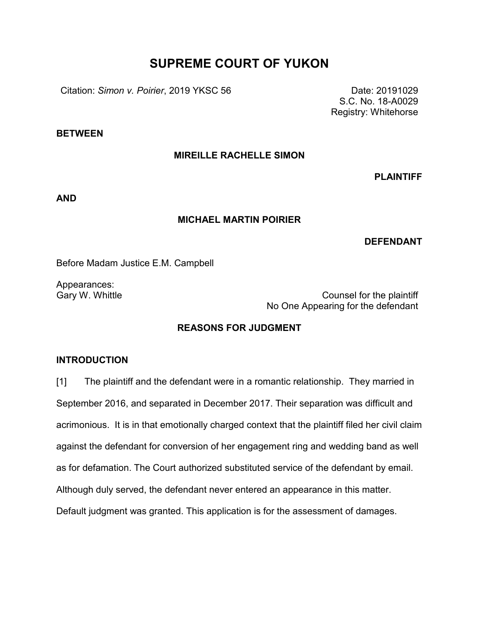## **SUPREME COURT OF YUKON**

Citation: *Simon v. Poirier*, 2019 YKSC 56 Date: 20191029

S.C. No. 18-A0029 Registry: Whitehorse

**BETWEEN**

### **MIREILLE RACHELLE SIMON**

**PLAINTIFF**

**AND**

#### **MICHAEL MARTIN POIRIER**

### **DEFENDANT**

Before Madam Justice E.M. Campbell

Appearances:

Gary W. Whittle Counsel for the plaintiff No One Appearing for the defendant

### **REASONS FOR JUDGMENT**

### **INTRODUCTION**

[1] The plaintiff and the defendant were in a romantic relationship. They married in September 2016, and separated in December 2017. Their separation was difficult and acrimonious. It is in that emotionally charged context that the plaintiff filed her civil claim against the defendant for conversion of her engagement ring and wedding band as well as for defamation. The Court authorized substituted service of the defendant by email. Although duly served, the defendant never entered an appearance in this matter. Default judgment was granted. This application is for the assessment of damages.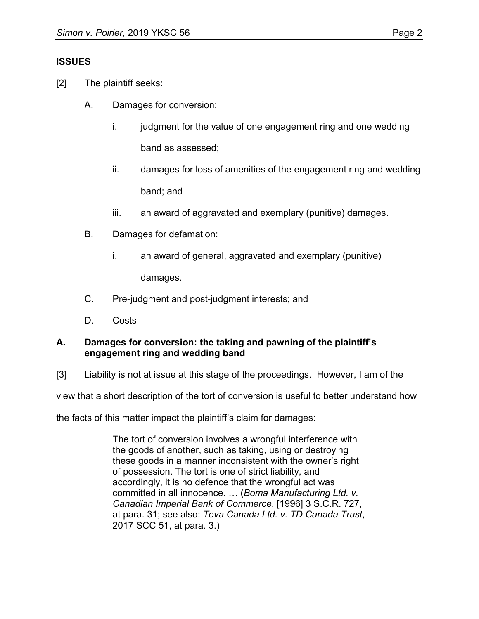## **ISSUES**

- [2] The plaintiff seeks:
	- A. Damages for conversion:
		- i. judgment for the value of one engagement ring and one wedding band as assessed;
		- ii. damages for loss of amenities of the engagement ring and wedding band; and
		- iii. an award of aggravated and exemplary (punitive) damages.
	- B. Damages for defamation:
		- i. an award of general, aggravated and exemplary (punitive) damages.
	- C. Pre-judgment and post-judgment interests; and
	- D. Costs

## **A. Damages for conversion: the taking and pawning of the plaintiff's engagement ring and wedding band**

[3] Liability is not at issue at this stage of the proceedings. However, I am of the

view that a short description of the tort of conversion is useful to better understand how

the facts of this matter impact the plaintiff's claim for damages:

The tort of conversion involves a wrongful interference with the goods of another, such as taking, using or destroying these goods in a manner inconsistent with the owner's right of possession. The tort is one of strict liability, and accordingly, it is no defence that the wrongful act was committed in all innocence. … (*Boma Manufacturing Ltd. v. Canadian Imperial Bank of Commerce*, [1996] 3 S.C.R. 727, at para. 31; see also: *Teva Canada Ltd. v. TD Canada Trust*, 2017 SCC 51, at para. 3.)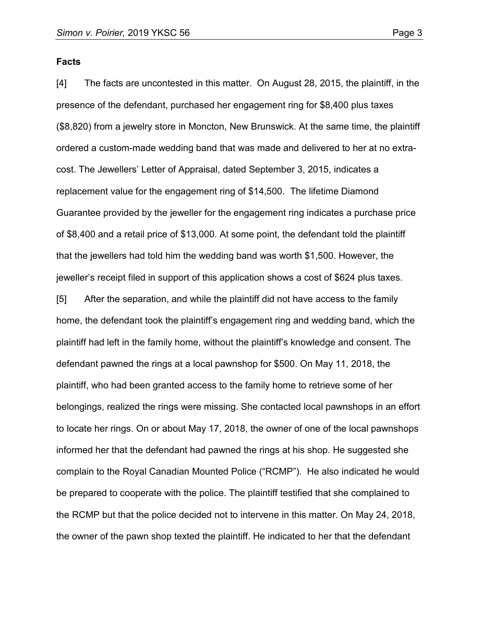#### **Facts**

[4] The facts are uncontested in this matter. On August 28, 2015, the plaintiff, in the presence of the defendant, purchased her engagement ring for \$8,400 plus taxes (\$8,820) from a jewelry store in Moncton, New Brunswick. At the same time, the plaintiff ordered a custom-made wedding band that was made and delivered to her at no extracost. The Jewellers' Letter of Appraisal, dated September 3, 2015, indicates a replacement value for the engagement ring of \$14,500. The lifetime Diamond Guarantee provided by the jeweller for the engagement ring indicates a purchase price of \$8,400 and a retail price of \$13,000. At some point, the defendant told the plaintiff that the jewellers had told him the wedding band was worth \$1,500. However, the jeweller's receipt filed in support of this application shows a cost of \$624 plus taxes.

[5] After the separation, and while the plaintiff did not have access to the family home, the defendant took the plaintiff's engagement ring and wedding band, which the plaintiff had left in the family home, without the plaintiff's knowledge and consent. The defendant pawned the rings at a local pawnshop for \$500. On May 11, 2018, the plaintiff, who had been granted access to the family home to retrieve some of her belongings, realized the rings were missing. She contacted local pawnshops in an effort to locate her rings. On or about May 17, 2018, the owner of one of the local pawnshops informed her that the defendant had pawned the rings at his shop. He suggested she complain to the Royal Canadian Mounted Police ("RCMP"). He also indicated he would be prepared to cooperate with the police. The plaintiff testified that she complained to the RCMP but that the police decided not to intervene in this matter. On May 24, 2018, the owner of the pawn shop texted the plaintiff. He indicated to her that the defendant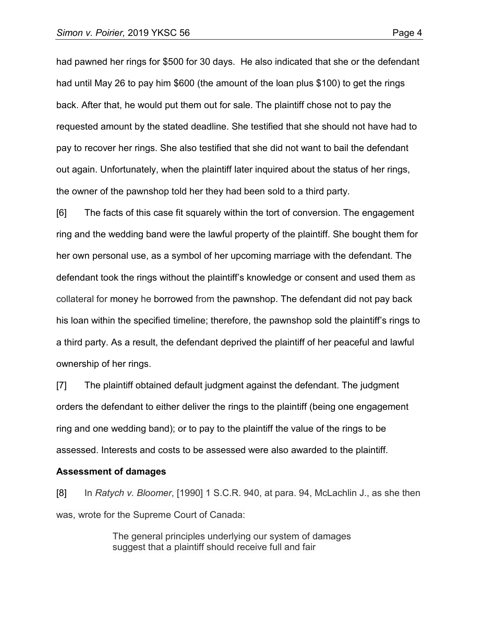had pawned her rings for \$500 for 30 days. He also indicated that she or the defendant had until May 26 to pay him \$600 (the amount of the loan plus \$100) to get the rings back. After that, he would put them out for sale. The plaintiff chose not to pay the requested amount by the stated deadline. She testified that she should not have had to pay to recover her rings. She also testified that she did not want to bail the defendant out again. Unfortunately, when the plaintiff later inquired about the status of her rings, the owner of the pawnshop told her they had been sold to a third party.

[6] The facts of this case fit squarely within the tort of conversion. The engagement ring and the wedding band were the lawful property of the plaintiff. She bought them for her own personal use, as a symbol of her upcoming marriage with the defendant. The defendant took the rings without the plaintiff's knowledge or consent and used them as collateral for money he borrowed from the pawnshop. The defendant did not pay back his loan within the specified timeline; therefore, the pawnshop sold the plaintiff's rings to a third party. As a result, the defendant deprived the plaintiff of her peaceful and lawful ownership of her rings.

[7] The plaintiff obtained default judgment against the defendant. The judgment orders the defendant to either deliver the rings to the plaintiff (being one engagement ring and one wedding band); or to pay to the plaintiff the value of the rings to be assessed. Interests and costs to be assessed were also awarded to the plaintiff.

**Assessment of damages**

[8] In *Ratych v. Bloomer*, [1990] 1 S.C.R. 940, at para. 94, McLachlin J., as she then was, wrote for the Supreme Court of Canada:

> The general principles underlying our system of damages suggest that a plaintiff should receive full and fair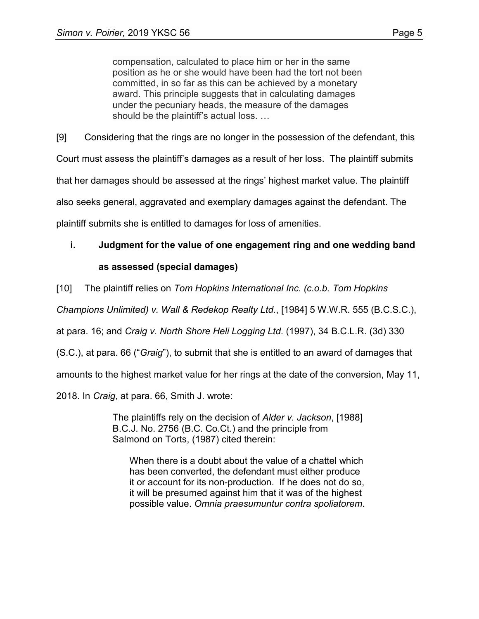compensation, calculated to place him or her in the same position as he or she would have been had the tort not been committed, in so far as this can be achieved by a monetary award. This principle suggests that in calculating damages under the pecuniary heads, the measure of the damages should be the plaintiff's actual loss. …

[9] Considering that the rings are no longer in the possession of the defendant, this Court must assess the plaintiff's damages as a result of her loss. The plaintiff submits that her damages should be assessed at the rings' highest market value. The plaintiff also seeks general, aggravated and exemplary damages against the defendant. The plaintiff submits she is entitled to damages for loss of amenities.

# **i. Judgment for the value of one engagement ring and one wedding band as assessed (special damages)**

[10] The plaintiff relies on *Tom Hopkins International Inc. (c.o.b. Tom Hopkins* 

*Champions Unlimited) v. Wall & Redekop Realty Ltd.*, [1984] 5 W.W.R. 555 (B.C.S.C.),

at para. 16; and *Craig v. North Shore Heli Logging Ltd*. (1997), 34 B.C.L.R. (3d) 330

(S.C.), at para. 66 ("*Graig*"), to submit that she is entitled to an award of damages that

amounts to the highest market value for her rings at the date of the conversion, May 11,

2018. In *Craig*, at para. 66, Smith J. wrote:

The plaintiffs rely on the decision of *Alder v. Jackson*, [1988] B.C.J. No. 2756 (B.C. Co.Ct.) and the principle from Salmond on Torts, (1987) cited therein:

When there is a doubt about the value of a chattel which has been converted, the defendant must either produce it or account for its non-production. If he does not do so, it will be presumed against him that it was of the highest possible value. *Omnia praesumuntur contra spoliatorem*.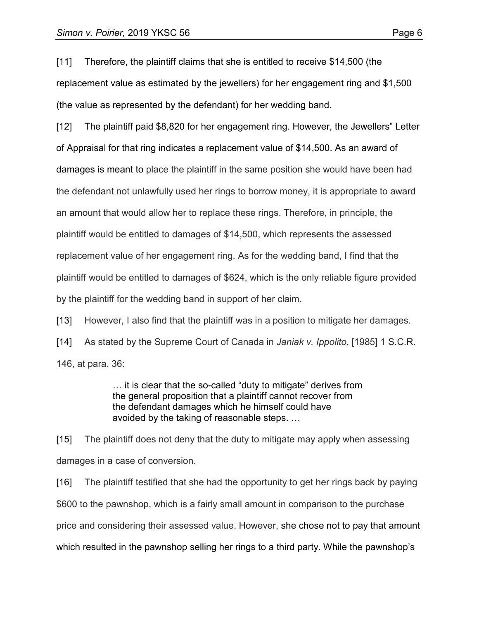[11] Therefore, the plaintiff claims that she is entitled to receive \$14,500 (the replacement value as estimated by the jewellers) for her engagement ring and \$1,500 (the value as represented by the defendant) for her wedding band.

[12] The plaintiff paid \$8,820 for her engagement ring. However, the Jewellers" Letter of Appraisal for that ring indicates a replacement value of \$14,500. As an award of damages is meant to place the plaintiff in the same position she would have been had the defendant not unlawfully used her rings to borrow money, it is appropriate to award an amount that would allow her to replace these rings. Therefore, in principle, the plaintiff would be entitled to damages of \$14,500, which represents the assessed replacement value of her engagement ring. As for the wedding band, I find that the plaintiff would be entitled to damages of \$624, which is the only reliable figure provided by the plaintiff for the wedding band in support of her claim.

[13] However, I also find that the plaintiff was in a position to mitigate her damages.

[14] As stated by the Supreme Court of Canada in *Janiak v. Ippolito*, [1985] 1 S.C.R. 146, at para. 36:

> … it is clear that the so-called "duty to mitigate" derives from the general proposition that a plaintiff cannot recover from the defendant damages which he himself could have avoided by the taking of reasonable steps. …

[15] The plaintiff does not deny that the duty to mitigate may apply when assessing damages in a case of conversion.

[16] The plaintiff testified that she had the opportunity to get her rings back by paying \$600 to the pawnshop, which is a fairly small amount in comparison to the purchase price and considering their assessed value. However, she chose not to pay that amount which resulted in the pawnshop selling her rings to a third party. While the pawnshop's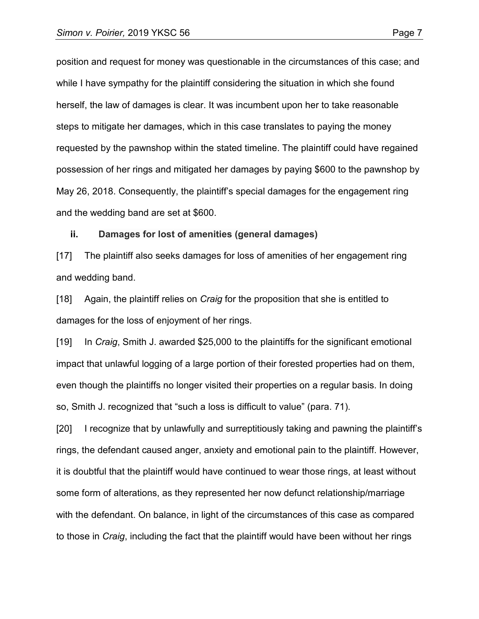position and request for money was questionable in the circumstances of this case; and while I have sympathy for the plaintiff considering the situation in which she found herself, the law of damages is clear. It was incumbent upon her to take reasonable steps to mitigate her damages, which in this case translates to paying the money requested by the pawnshop within the stated timeline. The plaintiff could have regained possession of her rings and mitigated her damages by paying \$600 to the pawnshop by May 26, 2018. Consequently, the plaintiff's special damages for the engagement ring and the wedding band are set at \$600.

#### **ii. Damages for lost of amenities (general damages)**

[17] The plaintiff also seeks damages for loss of amenities of her engagement ring and wedding band.

[18] Again, the plaintiff relies on *Craig* for the proposition that she is entitled to damages for the loss of enjoyment of her rings.

[19] In *Craig*, Smith J. awarded \$25,000 to the plaintiffs for the significant emotional impact that unlawful logging of a large portion of their forested properties had on them, even though the plaintiffs no longer visited their properties on a regular basis. In doing so, Smith J. recognized that "such a loss is difficult to value" (para. 71).

[20] I recognize that by unlawfully and surreptitiously taking and pawning the plaintiff's rings, the defendant caused anger, anxiety and emotional pain to the plaintiff. However, it is doubtful that the plaintiff would have continued to wear those rings, at least without some form of alterations, as they represented her now defunct relationship/marriage with the defendant. On balance, in light of the circumstances of this case as compared to those in *Craig*, including the fact that the plaintiff would have been without her rings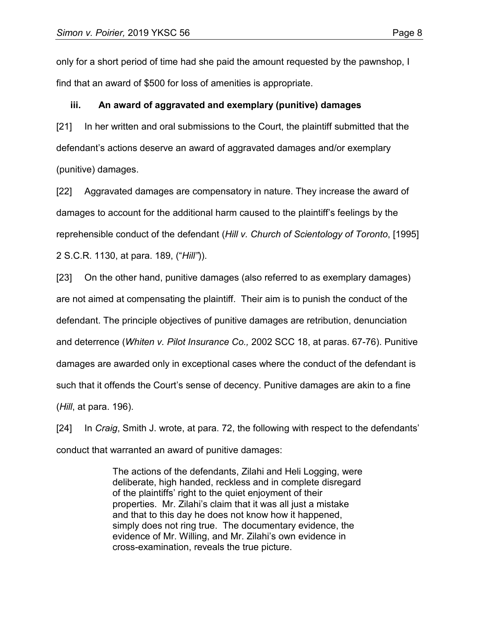only for a short period of time had she paid the amount requested by the pawnshop, I find that an award of \$500 for loss of amenities is appropriate.

#### **iii. An award of aggravated and exemplary (punitive) damages**

[21] In her written and oral submissions to the Court, the plaintiff submitted that the defendant's actions deserve an award of aggravated damages and/or exemplary (punitive) damages.

[22] Aggravated damages are compensatory in nature. They increase the award of damages to account for the additional harm caused to the plaintiff's feelings by the reprehensible conduct of the defendant (*Hill v. Church of Scientology of Toronto*, [1995] 2 S.C.R. 1130, at para. 189, ("*Hill"*)).

[23] On the other hand, punitive damages (also referred to as exemplary damages) are not aimed at compensating the plaintiff. Their aim is to punish the conduct of the defendant. The principle objectives of punitive damages are retribution, denunciation and deterrence (*Whiten v. Pilot Insurance Co.,* 2002 SCC 18, at paras. 67-76). Punitive damages are awarded only in exceptional cases where the conduct of the defendant is such that it offends the Court's sense of decency. Punitive damages are akin to a fine (*Hill*, at para. 196).

[24] In *Craig*, Smith J. wrote, at para. 72, the following with respect to the defendants' conduct that warranted an award of punitive damages:

> The actions of the defendants, Zilahi and Heli Logging, were deliberate, high handed, reckless and in complete disregard of the plaintiffs' right to the quiet enjoyment of their properties. Mr. Zilahi's claim that it was all just a mistake and that to this day he does not know how it happened, simply does not ring true. The documentary evidence, the evidence of Mr. Willing, and Mr. Zilahi's own evidence in cross-examination, reveals the true picture.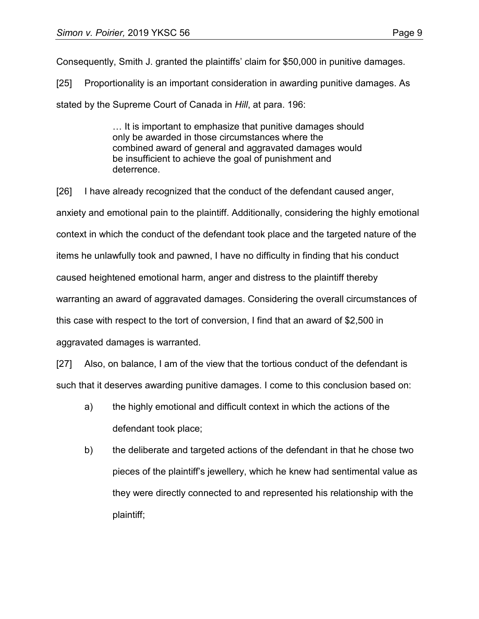Consequently, Smith J. granted the plaintiffs' claim for \$50,000 in punitive damages.

[25] Proportionality is an important consideration in awarding punitive damages. As stated by the Supreme Court of Canada in *Hill*, at para. 196:

> … It is important to emphasize that punitive damages should only be awarded in those circumstances where the combined award of general and aggravated damages would be insufficient to achieve the goal of punishment and deterrence.

[26] I have already recognized that the conduct of the defendant caused anger, anxiety and emotional pain to the plaintiff. Additionally, considering the highly emotional context in which the conduct of the defendant took place and the targeted nature of the items he unlawfully took and pawned, I have no difficulty in finding that his conduct caused heightened emotional harm, anger and distress to the plaintiff thereby warranting an award of aggravated damages. Considering the overall circumstances of this case with respect to the tort of conversion, I find that an award of \$2,500 in aggravated damages is warranted.

[27] Also, on balance, I am of the view that the tortious conduct of the defendant is such that it deserves awarding punitive damages. I come to this conclusion based on:

- a) the highly emotional and difficult context in which the actions of the defendant took place;
- b) the deliberate and targeted actions of the defendant in that he chose two pieces of the plaintiff's jewellery, which he knew had sentimental value as they were directly connected to and represented his relationship with the plaintiff;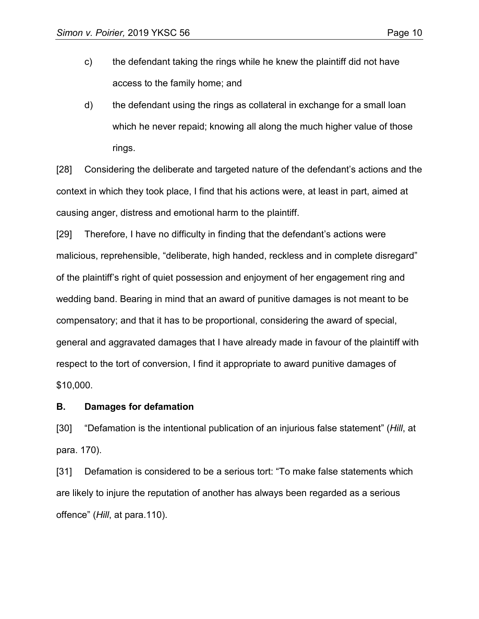- c) the defendant taking the rings while he knew the plaintiff did not have access to the family home; and
- d) the defendant using the rings as collateral in exchange for a small loan which he never repaid; knowing all along the much higher value of those rings.

[28] Considering the deliberate and targeted nature of the defendant's actions and the context in which they took place, I find that his actions were, at least in part, aimed at causing anger, distress and emotional harm to the plaintiff.

[29] Therefore, I have no difficulty in finding that the defendant's actions were malicious, reprehensible, "deliberate, high handed, reckless and in complete disregard" of the plaintiff's right of quiet possession and enjoyment of her engagement ring and wedding band. Bearing in mind that an award of punitive damages is not meant to be compensatory; and that it has to be proportional, considering the award of special, general and aggravated damages that I have already made in favour of the plaintiff with respect to the tort of conversion, I find it appropriate to award punitive damages of \$10,000.

#### **B. Damages for defamation**

[30] "Defamation is the intentional publication of an injurious false statement" (*Hill*, at para. 170).

[31] Defamation is considered to be a serious tort: "To make false statements which are likely to injure the reputation of another has always been regarded as a serious offence" (*Hill*, at para.110).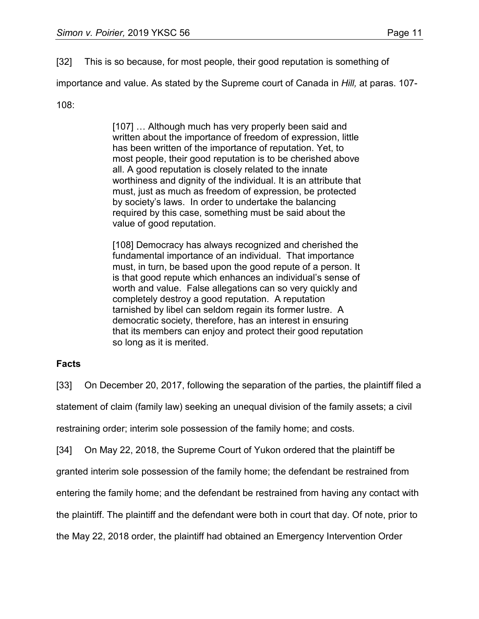[32] This is so because, for most people, their good reputation is something of

importance and value. As stated by the Supreme court of Canada in *Hill,* at paras. 107-

108:

[107] ... Although much has very properly been said and written about the importance of freedom of expression, little has been written of the importance of reputation. Yet, to most people, their good reputation is to be cherished above all. A good reputation is closely related to the innate worthiness and dignity of the individual. It is an attribute that must, just as much as freedom of expression, be protected by society's laws. In order to undertake the balancing required by this case, something must be said about the value of good reputation.

[108] Democracy has always recognized and cherished the fundamental importance of an individual. That importance must, in turn, be based upon the good repute of a person. It is that good repute which enhances an individual's sense of worth and value. False allegations can so very quickly and completely destroy a good reputation. A reputation tarnished by libel can seldom regain its former lustre. A democratic society, therefore, has an interest in ensuring that its members can enjoy and protect their good reputation so long as it is merited.

## **Facts**

[33] On December 20, 2017, following the separation of the parties, the plaintiff filed a

statement of claim (family law) seeking an unequal division of the family assets; a civil

restraining order; interim sole possession of the family home; and costs.

[34] On May 22, 2018, the Supreme Court of Yukon ordered that the plaintiff be

granted interim sole possession of the family home; the defendant be restrained from

entering the family home; and the defendant be restrained from having any contact with

the plaintiff. The plaintiff and the defendant were both in court that day. Of note, prior to

the May 22, 2018 order, the plaintiff had obtained an Emergency Intervention Order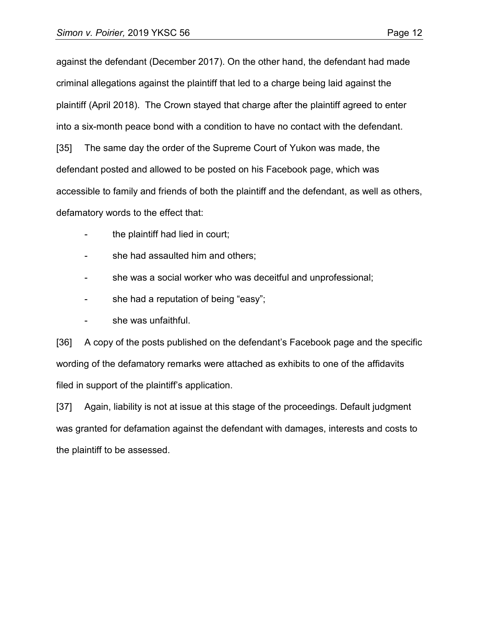against the defendant (December 2017). On the other hand, the defendant had made criminal allegations against the plaintiff that led to a charge being laid against the plaintiff (April 2018). The Crown stayed that charge after the plaintiff agreed to enter into a six-month peace bond with a condition to have no contact with the defendant. [35] The same day the order of the Supreme Court of Yukon was made, the defendant posted and allowed to be posted on his Facebook page, which was accessible to family and friends of both the plaintiff and the defendant, as well as others, defamatory words to the effect that:

- the plaintiff had lied in court;
- she had assaulted him and others;
- she was a social worker who was deceitful and unprofessional;
- she had a reputation of being "easy";
- she was unfaithful.

[36] A copy of the posts published on the defendant's Facebook page and the specific wording of the defamatory remarks were attached as exhibits to one of the affidavits filed in support of the plaintiff's application.

[37] Again, liability is not at issue at this stage of the proceedings. Default judgment was granted for defamation against the defendant with damages, interests and costs to the plaintiff to be assessed.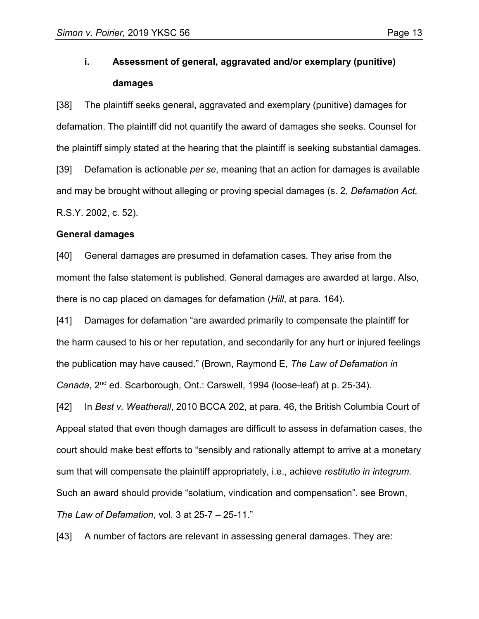## **i. Assessment of general, aggravated and/or exemplary (punitive) damages**

[38] The plaintiff seeks general, aggravated and exemplary (punitive) damages for defamation. The plaintiff did not quantify the award of damages she seeks. Counsel for the plaintiff simply stated at the hearing that the plaintiff is seeking substantial damages. [39] Defamation is actionable *per se*, meaning that an action for damages is available and may be brought without alleging or proving special damages (s. 2, *Defamation Act,*  R.S.Y. 2002, c. 52).

#### **General damages**

[40] General damages are presumed in defamation cases. They arise from the moment the false statement is published. General damages are awarded at large. Also, there is no cap placed on damages for defamation (*Hill*, at para. 164).

[41] Damages for defamation "are awarded primarily to compensate the plaintiff for the harm caused to his or her reputation, and secondarily for any hurt or injured feelings the publication may have caused." (Brown, Raymond E, *The Law of Defamation in Canada*, 2nd ed. Scarborough, Ont.: Carswell, 1994 (loose-leaf) at p. 25-34).

[42] In *Best v. Weatherall*, 2010 BCCA 202, at para. 46, the British Columbia Court of Appeal stated that even though damages are difficult to assess in defamation cases, the court should make best efforts to "sensibly and rationally attempt to arrive at a monetary sum that will compensate the plaintiff appropriately, i.e., achieve *restitutio in integrum*. Such an award should provide "solatium, vindication and compensation". see Brown, *The Law of Defamation*, vol. 3 at 25-7 – 25-11."

[43] A number of factors are relevant in assessing general damages. They are: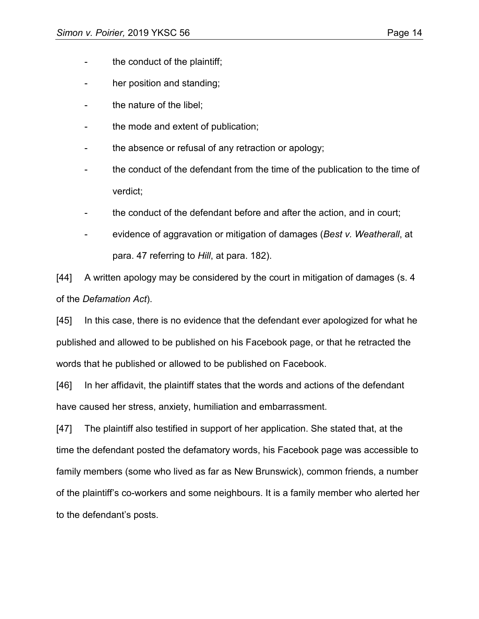- the conduct of the plaintiff;
- her position and standing;
- the nature of the libel;
- the mode and extent of publication;
- the absence or refusal of any retraction or apology;
- the conduct of the defendant from the time of the publication to the time of verdict;
- the conduct of the defendant before and after the action, and in court;
- evidence of aggravation or mitigation of damages (*Best v. Weatherall*, at para. 47 referring to *Hill*, at para. 182).

[44] A written apology may be considered by the court in mitigation of damages (s. 4 of the *Defamation Act*).

[45] In this case, there is no evidence that the defendant ever apologized for what he published and allowed to be published on his Facebook page, or that he retracted the words that he published or allowed to be published on Facebook.

[46] In her affidavit, the plaintiff states that the words and actions of the defendant have caused her stress, anxiety, humiliation and embarrassment.

[47] The plaintiff also testified in support of her application. She stated that, at the time the defendant posted the defamatory words, his Facebook page was accessible to family members (some who lived as far as New Brunswick), common friends, a number of the plaintiff's co-workers and some neighbours. It is a family member who alerted her to the defendant's posts.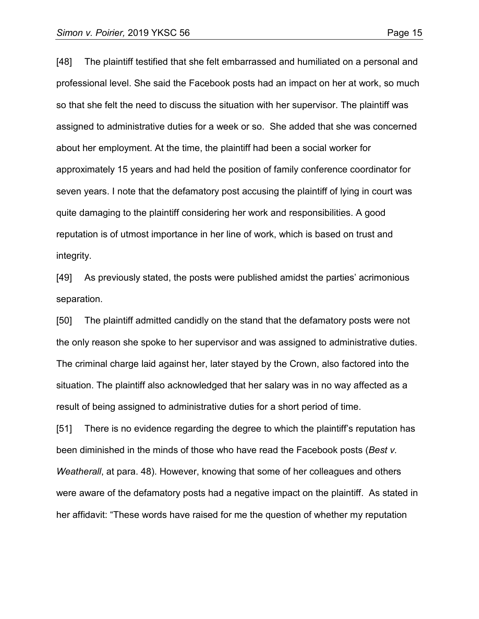[48] The plaintiff testified that she felt embarrassed and humiliated on a personal and professional level. She said the Facebook posts had an impact on her at work, so much so that she felt the need to discuss the situation with her supervisor. The plaintiff was assigned to administrative duties for a week or so. She added that she was concerned about her employment. At the time, the plaintiff had been a social worker for approximately 15 years and had held the position of family conference coordinator for seven years. I note that the defamatory post accusing the plaintiff of lying in court was quite damaging to the plaintiff considering her work and responsibilities. A good reputation is of utmost importance in her line of work, which is based on trust and integrity.

[49] As previously stated, the posts were published amidst the parties' acrimonious separation.

[50] The plaintiff admitted candidly on the stand that the defamatory posts were not the only reason she spoke to her supervisor and was assigned to administrative duties. The criminal charge laid against her, later stayed by the Crown, also factored into the situation. The plaintiff also acknowledged that her salary was in no way affected as a result of being assigned to administrative duties for a short period of time.

[51] There is no evidence regarding the degree to which the plaintiff's reputation has been diminished in the minds of those who have read the Facebook posts (*Best v. Weatherall*, at para. 48). However, knowing that some of her colleagues and others were aware of the defamatory posts had a negative impact on the plaintiff. As stated in her affidavit: "These words have raised for me the question of whether my reputation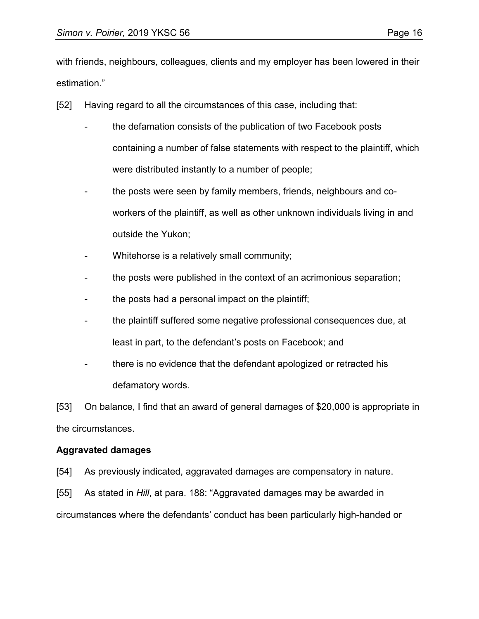with friends, neighbours, colleagues, clients and my employer has been lowered in their estimation."

- [52] Having regard to all the circumstances of this case, including that:
	- the defamation consists of the publication of two Facebook posts containing a number of false statements with respect to the plaintiff, which were distributed instantly to a number of people;
	- the posts were seen by family members, friends, neighbours and coworkers of the plaintiff, as well as other unknown individuals living in and outside the Yukon;
	- Whitehorse is a relatively small community;
	- the posts were published in the context of an acrimonious separation;
	- the posts had a personal impact on the plaintiff;
	- the plaintiff suffered some negative professional consequences due, at least in part, to the defendant's posts on Facebook; and
	- there is no evidence that the defendant apologized or retracted his defamatory words.

[53] On balance, I find that an award of general damages of \$20,000 is appropriate in the circumstances.

## **Aggravated damages**

- [54] As previously indicated, aggravated damages are compensatory in nature.
- [55] As stated in *Hill*, at para. 188: "Aggravated damages may be awarded in

circumstances where the defendants' conduct has been particularly high-handed or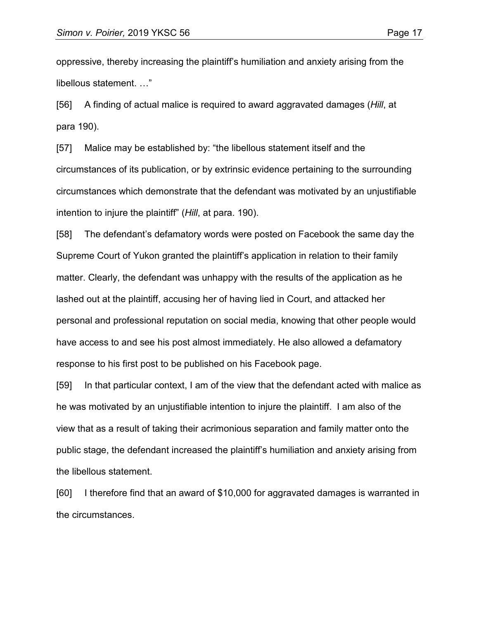oppressive, thereby increasing the plaintiff's humiliation and anxiety arising from the libellous statement. …"

[56] A finding of actual malice is required to award aggravated damages (*Hill*, at para 190).

[57] Malice may be established by: "the libellous statement itself and the circumstances of its publication, or by extrinsic evidence pertaining to the surrounding circumstances which demonstrate that the defendant was motivated by an unjustifiable intention to injure the plaintiff" (*Hill*, at para. 190).

[58] The defendant's defamatory words were posted on Facebook the same day the Supreme Court of Yukon granted the plaintiff's application in relation to their family matter. Clearly, the defendant was unhappy with the results of the application as he lashed out at the plaintiff, accusing her of having lied in Court, and attacked her personal and professional reputation on social media, knowing that other people would have access to and see his post almost immediately. He also allowed a defamatory response to his first post to be published on his Facebook page.

[59] In that particular context, I am of the view that the defendant acted with malice as he was motivated by an unjustifiable intention to injure the plaintiff. I am also of the view that as a result of taking their acrimonious separation and family matter onto the public stage, the defendant increased the plaintiff's humiliation and anxiety arising from the libellous statement.

[60] I therefore find that an award of \$10,000 for aggravated damages is warranted in the circumstances.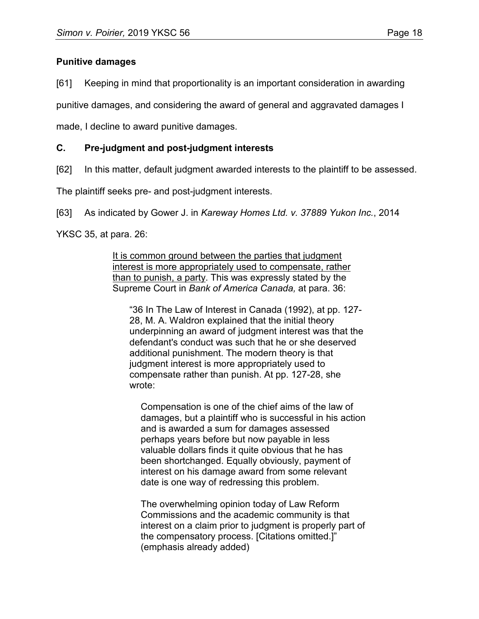## **Punitive damages**

[61] Keeping in mind that proportionality is an important consideration in awarding

punitive damages, and considering the award of general and aggravated damages I

made, I decline to award punitive damages.

## **C. Pre-judgment and post-judgment interests**

[62] In this matter, default judgment awarded interests to the plaintiff to be assessed.

The plaintiff seeks pre- and post-judgment interests.

[63] As indicated by Gower J. in *Kareway Homes Ltd. v. 37889 Yukon Inc.*, 2014

YKSC 35, at para. 26:

It is common ground between the parties that judgment interest is more appropriately used to compensate, rather than to punish, a party. This was expressly stated by the Supreme Court in *Bank of America Canada,* at para. 36:

"36 In The Law of Interest in Canada (1992), at pp. 127- 28, M. A. Waldron explained that the initial theory underpinning an award of judgment interest was that the defendant's conduct was such that he or she deserved additional punishment. The modern theory is that judgment interest is more appropriately used to compensate rather than punish. At pp. 127-28, she wrote:

Compensation is one of the chief aims of the law of damages, but a plaintiff who is successful in his action and is awarded a sum for damages assessed perhaps years before but now payable in less valuable dollars finds it quite obvious that he has been shortchanged. Equally obviously, payment of interest on his damage award from some relevant date is one way of redressing this problem.

The overwhelming opinion today of Law Reform Commissions and the academic community is that interest on a claim prior to judgment is properly part of the compensatory process. [Citations omitted.]" (emphasis already added)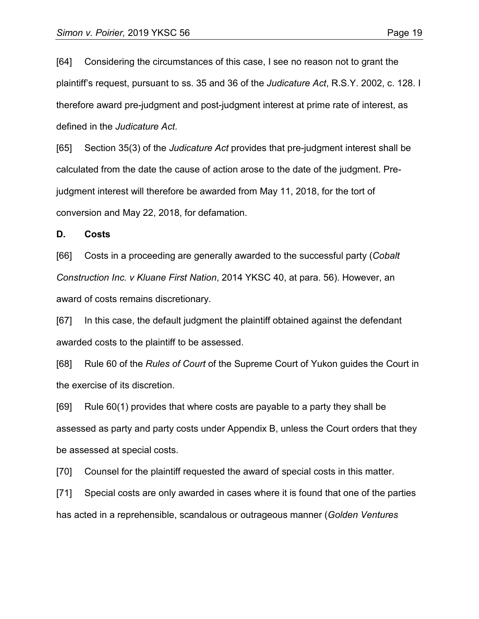[64] Considering the circumstances of this case, I see no reason not to grant the plaintiff's request, pursuant to ss. 35 and 36 of the *Judicature Act*, R.S.Y. 2002, c. 128. I therefore award pre-judgment and post-judgment interest at prime rate of interest, as defined in the *Judicature Act*.

[65] Section 35(3) of the *Judicature Act* provides that pre-judgment interest shall be calculated from the date the cause of action arose to the date of the judgment. Prejudgment interest will therefore be awarded from May 11, 2018, for the tort of conversion and May 22, 2018, for defamation.

#### **D. Costs**

[66] Costs in a proceeding are generally awarded to the successful party (*Cobalt Construction Inc. v Kluane First Nation*, 2014 YKSC 40, at para. 56). However, an award of costs remains discretionary.

[67] In this case, the default judgment the plaintiff obtained against the defendant awarded costs to the plaintiff to be assessed.

[68] Rule 60 of the *Rules of Court* of the Supreme Court of Yukon guides the Court in the exercise of its discretion.

[69] Rule 60(1) provides that where costs are payable to a party they shall be assessed as party and party costs under Appendix B, unless the Court orders that they be assessed at special costs.

[70] Counsel for the plaintiff requested the award of special costs in this matter.

[71] Special costs are only awarded in cases where it is found that one of the parties has acted in a reprehensible, scandalous or outrageous manner (*Golden Ventures*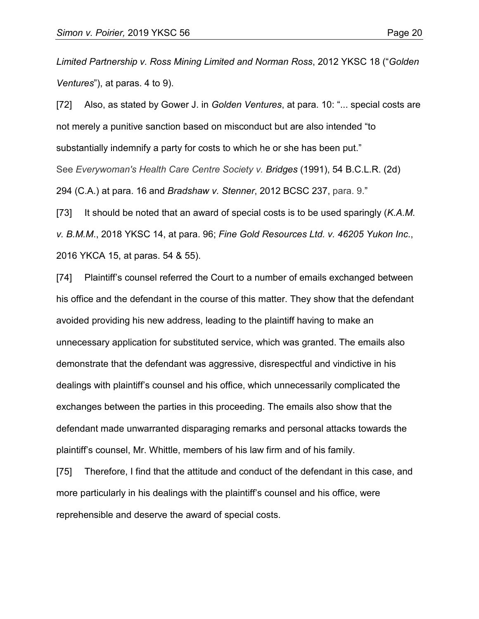*Limited Partnership v. Ross Mining Limited and Norman Ross*, 2012 YKSC 18 ("*Golden Ventures*"), at paras. 4 to 9).

[72] Also, as stated by Gower J. in *Golden Ventures*, at para. 10: "... special costs are not merely a punitive sanction based on misconduct but are also intended "to substantially indemnify a party for costs to which he or she has been put." See *Everywoman's Health Care Centre Society v. Bridges* (1991), 54 [B.C.L.R.](https://advance.lexis.com/search/?pdmfid=1505209&crid=537e6fb7-ce1f-4f80-ae24-465dc30f45c8&pdsearchterms=2012+YKSC+18&pdicsfeatureid=1517129&pdstartin=hlct%3A1%3A11&pdtypeofsearch=searchboxclick&pdsearchtype=SearchBox&pdqttype=or&pdpsf=%3A%3A1&pdquerytemplateid=&ecomp=vpmh9kk&earg=pdpsf&prid=c9cbb0e1-be0f-4d16-9b20-9dcdcccd3dfd) (2d) [294](https://advance.lexis.com/search/?pdmfid=1505209&crid=537e6fb7-ce1f-4f80-ae24-465dc30f45c8&pdsearchterms=2012+YKSC+18&pdicsfeatureid=1517129&pdstartin=hlct%3A1%3A11&pdtypeofsearch=searchboxclick&pdsearchtype=SearchBox&pdqttype=or&pdpsf=%3A%3A1&pdquerytemplateid=&ecomp=vpmh9kk&earg=pdpsf&prid=c9cbb0e1-be0f-4d16-9b20-9dcdcccd3dfd) (C.A.) at para. 16 and *Bradshaw v. Stenner*, 2012 [BCSC](https://advance.lexis.com/search/?pdmfid=1505209&crid=537e6fb7-ce1f-4f80-ae24-465dc30f45c8&pdsearchterms=2012+YKSC+18&pdicsfeatureid=1517129&pdstartin=hlct%3A1%3A11&pdtypeofsearch=searchboxclick&pdsearchtype=SearchBox&pdqttype=or&pdpsf=%3A%3A1&pdquerytemplateid=&ecomp=vpmh9kk&earg=pdpsf&prid=c9cbb0e1-be0f-4d16-9b20-9dcdcccd3dfd) 237, para. 9."

[73] It should be noted that an award of special costs is to be used sparingly (*K.A.M. v. B.M.M*., 2018 YKSC 14, at para. 96; *Fine Gold Resources Ltd. v. 46205 Yukon Inc*., 2016 YKCA 15, at paras. 54 & 55).

[74] Plaintiff's counsel referred the Court to a number of emails exchanged between his office and the defendant in the course of this matter. They show that the defendant avoided providing his new address, leading to the plaintiff having to make an unnecessary application for substituted service, which was granted. The emails also demonstrate that the defendant was aggressive, disrespectful and vindictive in his dealings with plaintiff's counsel and his office, which unnecessarily complicated the exchanges between the parties in this proceeding. The emails also show that the defendant made unwarranted disparaging remarks and personal attacks towards the plaintiff's counsel, Mr. Whittle, members of his law firm and of his family.

[75] Therefore, I find that the attitude and conduct of the defendant in this case, and more particularly in his dealings with the plaintiff's counsel and his office, were reprehensible and deserve the award of special costs.